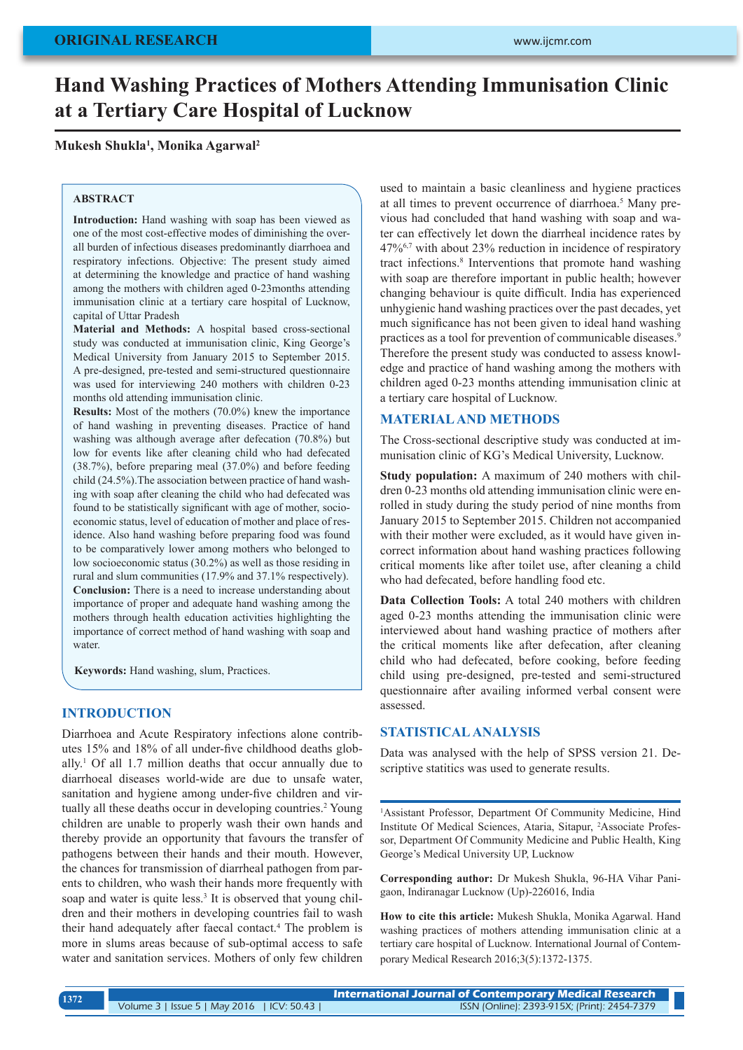# **Hand Washing Practices of Mothers Attending Immunisation Clinic at a Tertiary Care Hospital of Lucknow**

## **Mukesh Shukla1 , Monika Agarwal2**

#### **ABSTRACT**

**Introduction:** Hand washing with soap has been viewed as one of the most cost-effective modes of diminishing the overall burden of infectious diseases predominantly diarrhoea and respiratory infections. Objective: The present study aimed at determining the knowledge and practice of hand washing among the mothers with children aged 0-23months attending immunisation clinic at a tertiary care hospital of Lucknow, capital of Uttar Pradesh

**Material and Methods:** A hospital based cross-sectional study was conducted at immunisation clinic, King George's Medical University from January 2015 to September 2015. A pre-designed, pre-tested and semi-structured questionnaire was used for interviewing 240 mothers with children 0-23 months old attending immunisation clinic.

**Results:** Most of the mothers (70.0%) knew the importance of hand washing in preventing diseases. Practice of hand washing was although average after defecation (70.8%) but low for events like after cleaning child who had defecated (38.7%), before preparing meal (37.0%) and before feeding child (24.5%).The association between practice of hand washing with soap after cleaning the child who had defecated was found to be statistically significant with age of mother, socioeconomic status, level of education of mother and place of residence. Also hand washing before preparing food was found to be comparatively lower among mothers who belonged to low socioeconomic status (30.2%) as well as those residing in rural and slum communities (17.9% and 37.1% respectively). **Conclusion:** There is a need to increase understanding about importance of proper and adequate hand washing among the mothers through health education activities highlighting the importance of correct method of hand washing with soap and water

**Keywords:** Hand washing, slum, Practices.

## **INTRODUCTION**

Diarrhoea and Acute Respiratory infections alone contributes 15% and 18% of all under-five childhood deaths globally.1 Of all 1.7 million deaths that occur annually due to diarrhoeal diseases world-wide are due to unsafe water, sanitation and hygiene among under-five children and virtually all these deaths occur in developing countries.<sup>2</sup> Young children are unable to properly wash their own hands and thereby provide an opportunity that favours the transfer of pathogens between their hands and their mouth. However, the chances for transmission of diarrheal pathogen from parents to children, who wash their hands more frequently with soap and water is quite less.<sup>3</sup> It is observed that young children and their mothers in developing countries fail to wash their hand adequately after faecal contact.4 The problem is more in slums areas because of sub-optimal access to safe water and sanitation services. Mothers of only few children

used to maintain a basic cleanliness and hygiene practices at all times to prevent occurrence of diarrhoea.<sup>5</sup> Many previous had concluded that hand washing with soap and water can effectively let down the diarrheal incidence rates by 47%6,7 with about 23% reduction in incidence of respiratory tract infections.8 Interventions that promote hand washing with soap are therefore important in public health; however changing behaviour is quite difficult. India has experienced unhygienic hand washing practices over the past decades, yet much significance has not been given to ideal hand washing practices as a tool for prevention of communicable diseases.9 Therefore the present study was conducted to assess knowledge and practice of hand washing among the mothers with children aged 0-23 months attending immunisation clinic at a tertiary care hospital of Lucknow.

## **MATERIAL AND METHODS**

The Cross-sectional descriptive study was conducted at immunisation clinic of KG's Medical University, Lucknow.

**Study population:** A maximum of 240 mothers with children 0-23 months old attending immunisation clinic were enrolled in study during the study period of nine months from January 2015 to September 2015. Children not accompanied with their mother were excluded, as it would have given incorrect information about hand washing practices following critical moments like after toilet use, after cleaning a child who had defecated, before handling food etc.

**Data Collection Tools:** A total 240 mothers with children aged 0-23 months attending the immunisation clinic were interviewed about hand washing practice of mothers after the critical moments like after defecation, after cleaning child who had defecated, before cooking, before feeding child using pre-designed, pre-tested and semi-structured questionnaire after availing informed verbal consent were assessed.

### **STATISTICAL ANALYSIS**

Data was analysed with the help of SPSS version 21. Descriptive statitics was used to generate results.

<sup>1</sup>Assistant Professor, Department Of Community Medicine, Hind Institute Of Medical Sciences, Ataria, Sitapur, 2 Associate Professor, Department Of Community Medicine and Public Health, King George's Medical University UP, Lucknow

**Corresponding author:** Dr Mukesh Shukla, 96-HA Vihar Panigaon, Indiranagar Lucknow (Up)-226016, India

**How to cite this article:** Mukesh Shukla, Monika Agarwal. Hand washing practices of mothers attending immunisation clinic at a tertiary care hospital of Lucknow. International Journal of Contemporary Medical Research 2016;3(5):1372-1375.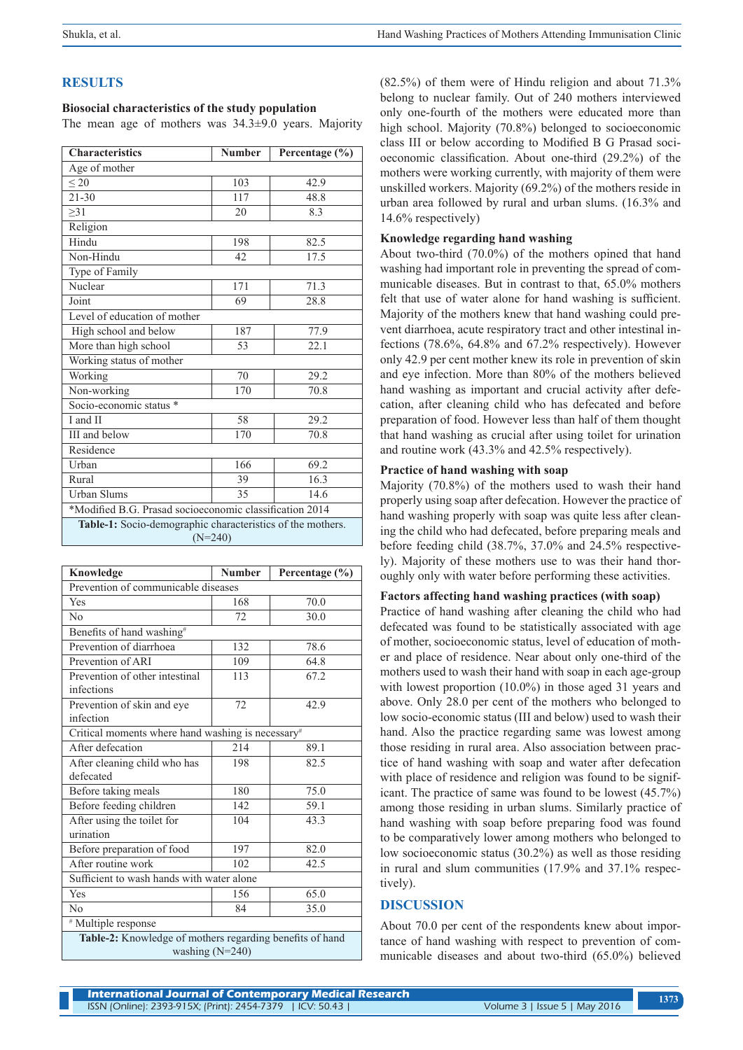# **RESULTS**

#### **Biosocial characteristics of the study population**

The mean age of mothers was 34.3±9.0 years. Majority

| <b>Characteristics</b>                                     | <b>Number</b> | Percentage (%)    |  |  |  |  |  |  |
|------------------------------------------------------------|---------------|-------------------|--|--|--|--|--|--|
| Age of mother                                              |               |                   |  |  |  |  |  |  |
| ${}_{20}$                                                  | 103           | 42.9              |  |  |  |  |  |  |
| $21 - 30$                                                  | 117           | 48.8              |  |  |  |  |  |  |
| >31                                                        | 20            | 8.3               |  |  |  |  |  |  |
| Religion                                                   |               |                   |  |  |  |  |  |  |
| Hindu                                                      | 198           | 82.5              |  |  |  |  |  |  |
| Non-Hindu                                                  | 42            | 17.5              |  |  |  |  |  |  |
| Type of Family                                             |               |                   |  |  |  |  |  |  |
| Nuclear                                                    | 171           | 71.3              |  |  |  |  |  |  |
| Joint                                                      | 69            | 28.8              |  |  |  |  |  |  |
| Level of education of mother                               |               |                   |  |  |  |  |  |  |
| High school and below                                      | 187           | 77.9              |  |  |  |  |  |  |
| More than high school                                      | 53            | $\overline{22.1}$ |  |  |  |  |  |  |
| Working status of mother                                   |               |                   |  |  |  |  |  |  |
| Working                                                    | 70            | 29.2              |  |  |  |  |  |  |
| Non-working                                                | 170           | 70.8              |  |  |  |  |  |  |
| Socio-economic status *                                    |               |                   |  |  |  |  |  |  |
| I and II                                                   | 58            | 29.2              |  |  |  |  |  |  |
| <b>III</b> and below                                       | 170           | 70.8              |  |  |  |  |  |  |
| Residence                                                  |               |                   |  |  |  |  |  |  |
| Urban                                                      | 166           | 69.2              |  |  |  |  |  |  |
| Rural                                                      | 39            | 16.3              |  |  |  |  |  |  |
| <b>Urban Slums</b>                                         | 35            | 14.6              |  |  |  |  |  |  |
| *Modified B.G. Prasad socioeconomic classification 2014    |               |                   |  |  |  |  |  |  |
| Table-1: Socio-demographic characteristics of the mothers. |               |                   |  |  |  |  |  |  |
| $(N=240)$                                                  |               |                   |  |  |  |  |  |  |

| Knowledge                                                | <b>Number</b> | Percentage (%) |  |  |  |  |  |  |
|----------------------------------------------------------|---------------|----------------|--|--|--|--|--|--|
| Prevention of communicable diseases                      |               |                |  |  |  |  |  |  |
| Yes                                                      | 168           | 70.0           |  |  |  |  |  |  |
| $\overline{N}$                                           | 72            | 30.0           |  |  |  |  |  |  |
| Benefits of hand washing <sup>#</sup>                    |               |                |  |  |  |  |  |  |
| Prevention of diarrhoea                                  | 132           | 78.6           |  |  |  |  |  |  |
| Prevention of ARI                                        | 109           | 64.8           |  |  |  |  |  |  |
| Prevention of other intestinal                           | 113<br>67.2   |                |  |  |  |  |  |  |
| infections                                               |               |                |  |  |  |  |  |  |
| Prevention of skin and eye                               | 72            | 42.9           |  |  |  |  |  |  |
| infection                                                |               |                |  |  |  |  |  |  |
| Critical moments where hand washing is necessary#        |               |                |  |  |  |  |  |  |
| After defecation                                         | 214           | 89.1           |  |  |  |  |  |  |
| After cleaning child who has                             | 198           | 82.5           |  |  |  |  |  |  |
| defecated                                                |               |                |  |  |  |  |  |  |
| Before taking meals                                      | 180           | 75.0           |  |  |  |  |  |  |
| Before feeding children                                  | 142           | 59.1           |  |  |  |  |  |  |
| After using the toilet for                               | 104           | 43.3           |  |  |  |  |  |  |
| urination                                                |               |                |  |  |  |  |  |  |
| Before preparation of food                               | 197           | 82.0           |  |  |  |  |  |  |
| After routine work                                       | 102           | 42.5           |  |  |  |  |  |  |
| Sufficient to wash hands with water alone                |               |                |  |  |  |  |  |  |
| Yes                                                      | 156           | 65.0           |  |  |  |  |  |  |
| No                                                       | 84            | 35.0           |  |  |  |  |  |  |
| # Multiple response                                      |               |                |  |  |  |  |  |  |
| Table-2: Knowledge of mothers regarding benefits of hand |               |                |  |  |  |  |  |  |
| washing $(N=240)$                                        |               |                |  |  |  |  |  |  |

(82.5%) of them were of Hindu religion and about 71.3% belong to nuclear family. Out of 240 mothers interviewed only one-fourth of the mothers were educated more than high school. Majority (70.8%) belonged to socioeconomic class III or below according to Modified B G Prasad socioeconomic classification. About one-third (29.2%) of the mothers were working currently, with majority of them were unskilled workers. Majority (69.2%) of the mothers reside in urban area followed by rural and urban slums. (16.3% and 14.6% respectively)

## **Knowledge regarding hand washing**

About two-third (70.0%) of the mothers opined that hand washing had important role in preventing the spread of communicable diseases. But in contrast to that, 65.0% mothers felt that use of water alone for hand washing is sufficient. Majority of the mothers knew that hand washing could prevent diarrhoea, acute respiratory tract and other intestinal infections (78.6%, 64.8% and 67.2% respectively). However only 42.9 per cent mother knew its role in prevention of skin and eye infection. More than 80% of the mothers believed hand washing as important and crucial activity after defecation, after cleaning child who has defecated and before preparation of food. However less than half of them thought that hand washing as crucial after using toilet for urination and routine work (43.3% and 42.5% respectively).

## **Practice of hand washing with soap**

Majority (70.8%) of the mothers used to wash their hand properly using soap after defecation. However the practice of hand washing properly with soap was quite less after cleaning the child who had defecated, before preparing meals and before feeding child (38.7%, 37.0% and 24.5% respectively). Majority of these mothers use to was their hand thoroughly only with water before performing these activities.

#### **Factors affecting hand washing practices (with soap)**

Practice of hand washing after cleaning the child who had defecated was found to be statistically associated with age of mother, socioeconomic status, level of education of mother and place of residence. Near about only one-third of the mothers used to wash their hand with soap in each age-group with lowest proportion (10.0%) in those aged 31 years and above. Only 28.0 per cent of the mothers who belonged to low socio-economic status (III and below) used to wash their hand. Also the practice regarding same was lowest among those residing in rural area. Also association between practice of hand washing with soap and water after defecation with place of residence and religion was found to be significant. The practice of same was found to be lowest (45.7%) among those residing in urban slums. Similarly practice of hand washing with soap before preparing food was found to be comparatively lower among mothers who belonged to low socioeconomic status (30.2%) as well as those residing in rural and slum communities (17.9% and 37.1% respectively).

# **DISCUSSION**

About 70.0 per cent of the respondents knew about importance of hand washing with respect to prevention of communicable diseases and about two-third (65.0%) believed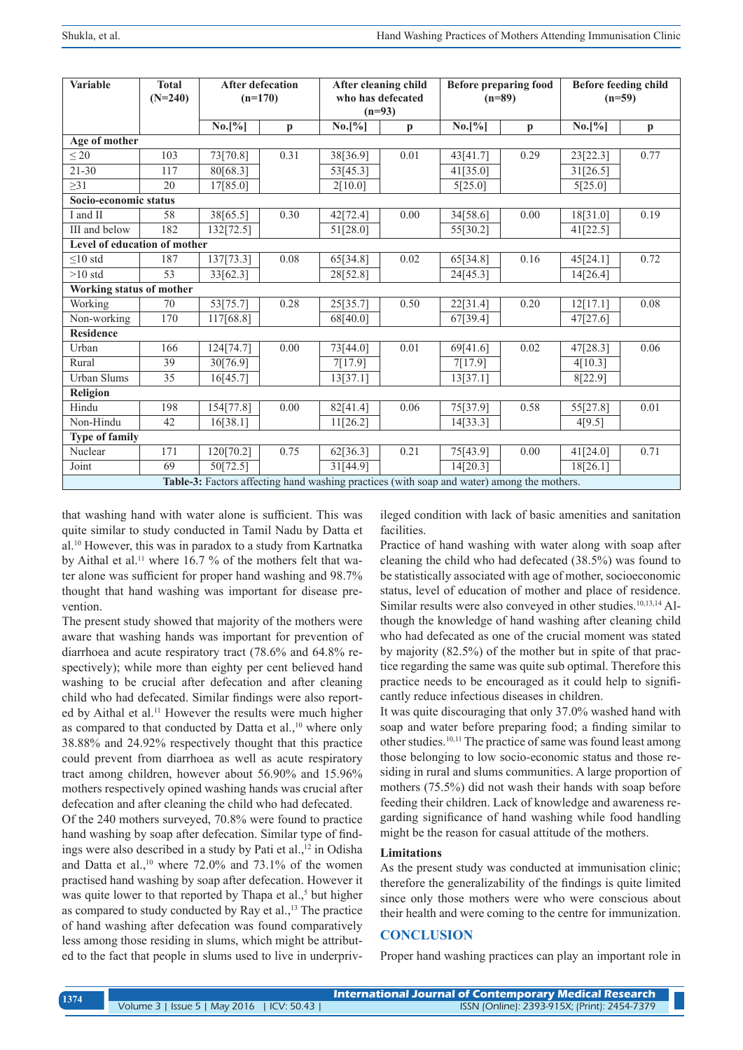| <b>Variable</b>                                                                            | <b>Total</b><br>$(N=240)$ | <b>After defecation</b><br>$(n=170)$ |              | After cleaning child<br>who has defecated<br>$(n=93)$ |             | <b>Before preparing food</b><br>$(n=89)$ |              | <b>Before feeding child</b><br>$(n=59)$ |              |
|--------------------------------------------------------------------------------------------|---------------------------|--------------------------------------|--------------|-------------------------------------------------------|-------------|------------------------------------------|--------------|-----------------------------------------|--------------|
|                                                                                            |                           | $No.[\%]$                            | $\mathbf{p}$ | $No.[\%]$                                             | $\mathbf p$ | $No.[\%]$                                | $\mathbf{p}$ | $No.[\%]$                               | $\mathbf{p}$ |
| Age of mother                                                                              |                           |                                      |              |                                                       |             |                                          |              |                                         |              |
| $\leq 20$                                                                                  | 103                       | 73[70.8]                             | 0.31         | 38[36.9]                                              | 0.01        | 43[41.7]                                 | 0.29         | 23[22.3]                                | 0.77         |
| $21 - 30$                                                                                  | 117                       | 80[68.3]                             |              | 53[45.3]                                              |             | 41[35.0]                                 |              | 31[26.5]                                |              |
| $\geq$ 31                                                                                  | 20                        | 17[85.0]                             |              | 2[10.0]                                               |             | 5[25.0]                                  |              | 5[25.0]                                 |              |
| Socio-economic status                                                                      |                           |                                      |              |                                                       |             |                                          |              |                                         |              |
| I and II                                                                                   | 58                        | 38[65.5]                             | 0.30         | 42[72.4]                                              | 0.00        | 34[58.6]                                 | 0.00         | 18[31.0]                                | 0.19         |
| III and below                                                                              | 182                       | 132[72.5]                            |              | 51[28.0]                                              |             | 55[30.2]                                 |              | 41[22.5]                                |              |
| Level of education of mother                                                               |                           |                                      |              |                                                       |             |                                          |              |                                         |              |
| $\leq 10$ std                                                                              | 187                       | 137[73.3]                            | 0.08         | 65[34.8]                                              | 0.02        | 65[34.8]                                 | 0.16         | 45[24.1]                                | 0.72         |
| $>10$ std                                                                                  | 53                        | 33[62.3]                             |              | 28[52.8]                                              |             | 24[45.3]                                 |              | 14[26.4]                                |              |
| Working status of mother                                                                   |                           |                                      |              |                                                       |             |                                          |              |                                         |              |
| Working                                                                                    | 70                        | 53[75.7]                             | 0.28         | 25[35.7]                                              | 0.50        | 22[31.4]                                 | 0.20         | 12[17.1]                                | 0.08         |
| Non-working                                                                                | 170                       | 117[68.8]                            |              | 68[40.0]                                              |             | 67[39.4]                                 |              | 47[27.6]                                |              |
| <b>Residence</b>                                                                           |                           |                                      |              |                                                       |             |                                          |              |                                         |              |
| Urban                                                                                      | 166                       | 124[74.7]                            | $0.00\,$     | 73[44.0]                                              | 0.01        | 69[41.6]                                 | 0.02         | 47[28.3]                                | 0.06         |
| Rural                                                                                      | 39                        | 30[76.9]                             |              | 7[17.9]                                               |             | 7[17.9]                                  |              | 4[10.3]                                 |              |
| <b>Urban Slums</b>                                                                         | 35                        | 16[45.7]                             |              | 13[37.1]                                              |             | 13[37.1]                                 |              | 8[22.9]                                 |              |
| Religion                                                                                   |                           |                                      |              |                                                       |             |                                          |              |                                         |              |
| Hindu                                                                                      | 198                       | 154[77.8]                            | 0.00         | 82[41.4]                                              | 0.06        | 75[37.9]                                 | 0.58         | 55[27.8]                                | 0.01         |
| Non-Hindu                                                                                  | 42                        | 16[38.1]                             |              | 11[26.2]                                              |             | 14[33.3]                                 |              | 4[9.5]                                  |              |
| <b>Type of family</b>                                                                      |                           |                                      |              |                                                       |             |                                          |              |                                         |              |
| Nuclear                                                                                    | 171                       | 120[70.2]                            | 0.75         | 62[36.3]                                              | 0.21        | 75[43.9]                                 | 0.00         | 41[24.0]                                | 0.71         |
| Joint                                                                                      | 69                        | 50[72.5]                             |              | 31[44.9]                                              |             | 14[20.3]                                 |              | 18[26.1]                                |              |
| Table-3: Factors affecting hand washing practices (with soap and water) among the mothers. |                           |                                      |              |                                                       |             |                                          |              |                                         |              |

that washing hand with water alone is sufficient. This was quite similar to study conducted in Tamil Nadu by Datta et al.10 However, this was in paradox to a study from Kartnatka by Aithal et al.<sup>11</sup> where 16.7 % of the mothers felt that water alone was sufficient for proper hand washing and 98.7% thought that hand washing was important for disease prevention.

The present study showed that majority of the mothers were aware that washing hands was important for prevention of diarrhoea and acute respiratory tract (78.6% and 64.8% respectively); while more than eighty per cent believed hand washing to be crucial after defecation and after cleaning child who had defecated. Similar findings were also reported by Aithal et al.<sup>11</sup> However the results were much higher as compared to that conducted by Datta et al.,<sup>10</sup> where only 38.88% and 24.92% respectively thought that this practice could prevent from diarrhoea as well as acute respiratory tract among children, however about 56.90% and 15.96% mothers respectively opined washing hands was crucial after defecation and after cleaning the child who had defecated.

Of the 240 mothers surveyed, 70.8% were found to practice hand washing by soap after defecation. Similar type of findings were also described in a study by Pati et al.,  $12$  in Odisha and Datta et al., $10$  where 72.0% and 73.1% of the women practised hand washing by soap after defecation. However it was quite lower to that reported by Thapa et al.,<sup>5</sup> but higher as compared to study conducted by Ray et al.,<sup>13</sup> The practice of hand washing after defecation was found comparatively less among those residing in slums, which might be attributed to the fact that people in slums used to live in underprivileged condition with lack of basic amenities and sanitation facilities.

Practice of hand washing with water along with soap after cleaning the child who had defecated (38.5%) was found to be statistically associated with age of mother, socioeconomic status, level of education of mother and place of residence. Similar results were also conveyed in other studies.10,13,14 Although the knowledge of hand washing after cleaning child who had defecated as one of the crucial moment was stated by majority (82.5%) of the mother but in spite of that practice regarding the same was quite sub optimal. Therefore this practice needs to be encouraged as it could help to significantly reduce infectious diseases in children.

It was quite discouraging that only 37.0% washed hand with soap and water before preparing food; a finding similar to other studies.10,11 The practice of same was found least among those belonging to low socio-economic status and those residing in rural and slums communities. A large proportion of mothers (75.5%) did not wash their hands with soap before feeding their children. Lack of knowledge and awareness regarding significance of hand washing while food handling might be the reason for casual attitude of the mothers.

# **Limitations**

As the present study was conducted at immunisation clinic; therefore the generalizability of the findings is quite limited since only those mothers were who were conscious about their health and were coming to the centre for immunization.

# **CONCLUSION**

Proper hand washing practices can play an important role in